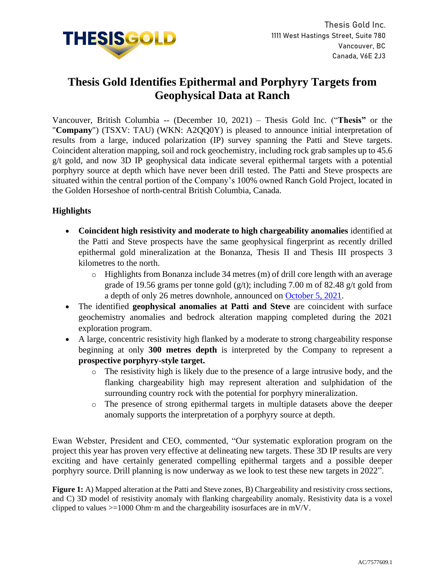

# **Thesis Gold Identifies Epithermal and Porphyry Targets from Geophysical Data at Ranch**

Vancouver, British Columbia -- (December 10, 2021) – Thesis Gold Inc. ("**Thesis"** or the "**Company**") (TSXV: TAU) (WKN: A2QQ0Y) is pleased to announce initial interpretation of results from a large, induced polarization (IP) survey spanning the Patti and Steve targets. Coincident alteration mapping, soil and rock geochemistry, including rock grab samples up to 45.6 g/t gold, and now 3D IP geophysical data indicate several epithermal targets with a potential porphyry source at depth which have never been drill tested. The Patti and Steve prospects are situated within the central portion of the Company's 100% owned Ranch Gold Project, located in the Golden Horseshoe of north-central British Columbia, Canada.

# **Highlights**

- **Coincident high resistivity and moderate to high chargeability anomalies** identified at the Patti and Steve prospects have the same geophysical fingerprint as recently drilled epithermal gold mineralization at the Bonanza, Thesis II and Thesis III prospects 3 kilometres to the north.
	- $\circ$  Highlights from Bonanza include 34 metres (m) of drill core length with an average grade of 19.56 grams per tonne gold  $(g/t)$ ; including 7.00 m of 82.48 g/t gold from a depth of only 26 metres downhole, announced on [October 5, 2021.](https://www.thesisgold.com/_resources/news/nr-20211005.pdf)
- The identified **geophysical anomalies at Patti and Steve** are coincident with surface geochemistry anomalies and bedrock alteration mapping completed during the 2021 exploration program.
- A large, concentric resistivity high flanked by a moderate to strong chargeability response beginning at only **300 metres depth** is interpreted by the Company to represent a **prospective porphyry-style target.**
	- o The resistivity high is likely due to the presence of a large intrusive body, and the flanking chargeability high may represent alteration and sulphidation of the surrounding country rock with the potential for porphyry mineralization.
	- o The presence of strong epithermal targets in multiple datasets above the deeper anomaly supports the interpretation of a porphyry source at depth.

Ewan Webster, President and CEO, commented, "Our systematic exploration program on the project this year has proven very effective at delineating new targets. These 3D IP results are very exciting and have certainly generated compelling epithermal targets and a possible deeper porphyry source. Drill planning is now underway as we look to test these new targets in 2022".

**Figure 1:** A) Mapped alteration at the Patti and Steve zones, B) Chargeability and resistivity cross sections, and C) 3D model of resistivity anomaly with flanking chargeability anomaly. Resistivity data is a voxel clipped to values >=1000 Ohm·m and the chargeability isosurfaces are in mV/V.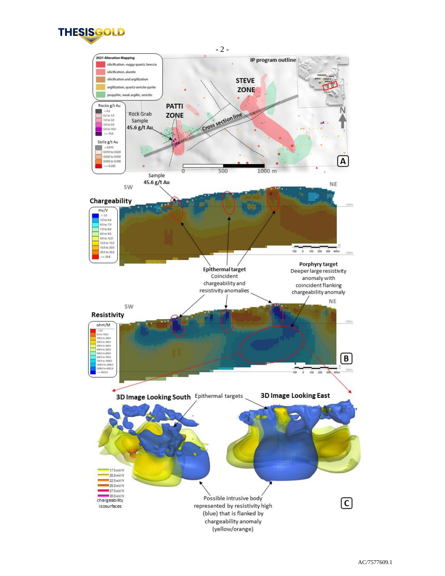

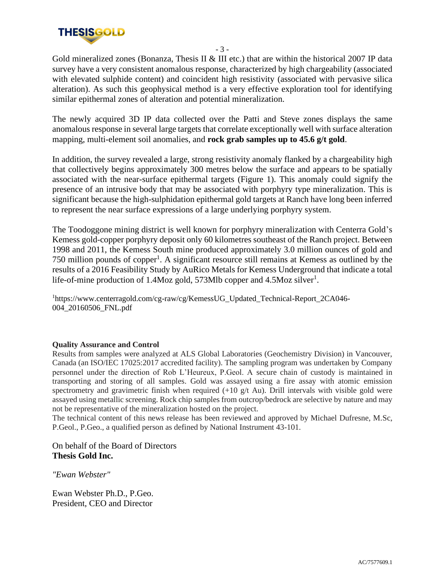

- 3 -

Gold mineralized zones (Bonanza, Thesis II & III etc.) that are within the historical 2007 IP data survey have a very consistent anomalous response, characterized by high chargeability (associated with elevated sulphide content) and coincident high resistivity (associated with pervasive silica alteration). As such this geophysical method is a very effective exploration tool for identifying similar epithermal zones of alteration and potential mineralization.

The newly acquired 3D IP data collected over the Patti and Steve zones displays the same anomalous response in several large targets that correlate exceptionally well with surface alteration mapping, multi-element soil anomalies, and **rock grab samples up to 45.6 g/t gold**.

In addition, the survey revealed a large, strong resistivity anomaly flanked by a chargeability high that collectively begins approximately 300 metres below the surface and appears to be spatially associated with the near-surface epithermal targets (Figure 1). This anomaly could signify the presence of an intrusive body that may be associated with porphyry type mineralization. This is significant because the high-sulphidation epithermal gold targets at Ranch have long been inferred to represent the near surface expressions of a large underlying porphyry system.

The Toodoggone mining district is well known for porphyry mineralization with Centerra Gold's Kemess gold-copper porphyry deposit only 60 kilometres southeast of the Ranch project. Between 1998 and 2011, the Kemess South mine produced approximately 3.0 million ounces of gold and 750 million pounds of copper<sup>1</sup>. A significant resource still remains at Kemess as outlined by the results of a 2016 Feasibility Study by AuRico Metals for Kemess Underground that indicate a total life-of-mine production of 1.4Moz gold, 573Mlb copper and 4.5Moz silver<sup>1</sup>.

<sup>1</sup>https://www.centerragold.com/cg-raw/cg/KemessUG\_Updated\_Technical-Report\_2CA046-004\_20160506\_FNL.pdf

## **Quality Assurance and Control**

Results from samples were analyzed at ALS Global Laboratories (Geochemistry Division) in Vancouver, Canada (an ISO/IEC 17025:2017 accredited facility). The sampling program was undertaken by Company personnel under the direction of Rob L'Heureux, P.Geol. A secure chain of custody is maintained in transporting and storing of all samples. Gold was assayed using a fire assay with atomic emission spectrometry and gravimetric finish when required  $(+10 \text{ g/t Au})$ . Drill intervals with visible gold were assayed using metallic screening. Rock chip samples from outcrop/bedrock are selective by nature and may not be representative of the mineralization hosted on the project.

The technical content of this news release has been reviewed and approved by Michael Dufresne, M.Sc, P.Geol., P.Geo., a qualified person as defined by National Instrument 43-101.

On behalf of the Board of Directors **Thesis Gold Inc.**

*"Ewan Webster"*

Ewan Webster Ph.D., P.Geo. President, CEO and Director